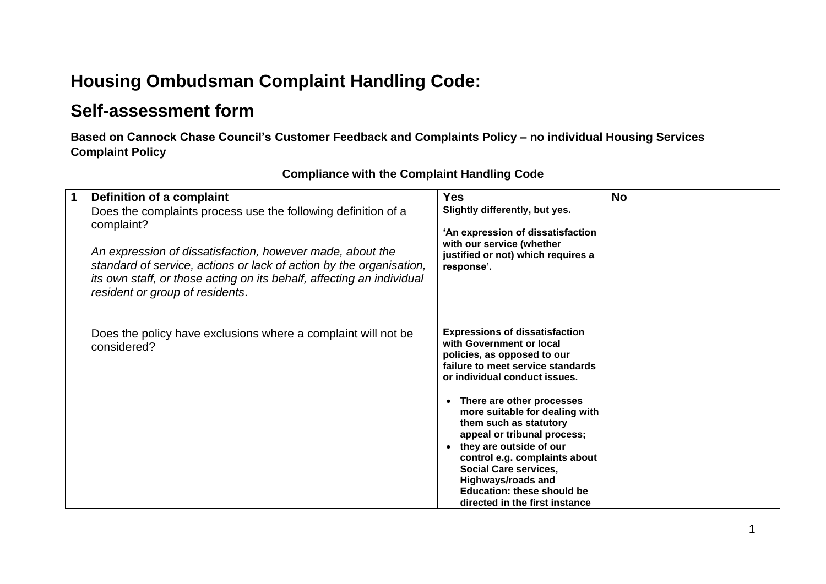## **Housing Ombudsman Complaint Handling Code:**

## **Self-assessment form**

**Based on Cannock Chase Council's Customer Feedback and Complaints Policy – no individual Housing Services Complaint Policy** 

| Definition of a complaint                                                                                                                                                                                                                                                                                                   | <b>Yes</b>                                                                                                                                                                                                                                                                                                                                                                                                                                                                                           | <b>No</b> |
|-----------------------------------------------------------------------------------------------------------------------------------------------------------------------------------------------------------------------------------------------------------------------------------------------------------------------------|------------------------------------------------------------------------------------------------------------------------------------------------------------------------------------------------------------------------------------------------------------------------------------------------------------------------------------------------------------------------------------------------------------------------------------------------------------------------------------------------------|-----------|
| Does the complaints process use the following definition of a<br>complaint?<br>An expression of dissatisfaction, however made, about the<br>standard of service, actions or lack of action by the organisation,<br>its own staff, or those acting on its behalf, affecting an individual<br>resident or group of residents. | Slightly differently, but yes.<br>'An expression of dissatisfaction<br>with our service (whether<br>justified or not) which requires a<br>response'.                                                                                                                                                                                                                                                                                                                                                 |           |
| Does the policy have exclusions where a complaint will not be<br>considered?                                                                                                                                                                                                                                                | <b>Expressions of dissatisfaction</b><br>with Government or local<br>policies, as opposed to our<br>failure to meet service standards<br>or individual conduct issues.<br>There are other processes<br>more suitable for dealing with<br>them such as statutory<br>appeal or tribunal process;<br>they are outside of our<br>$\bullet$<br>control e.g. complaints about<br><b>Social Care services,</b><br>Highways/roads and<br><b>Education: these should be</b><br>directed in the first instance |           |

## **Compliance with the Complaint Handling Code**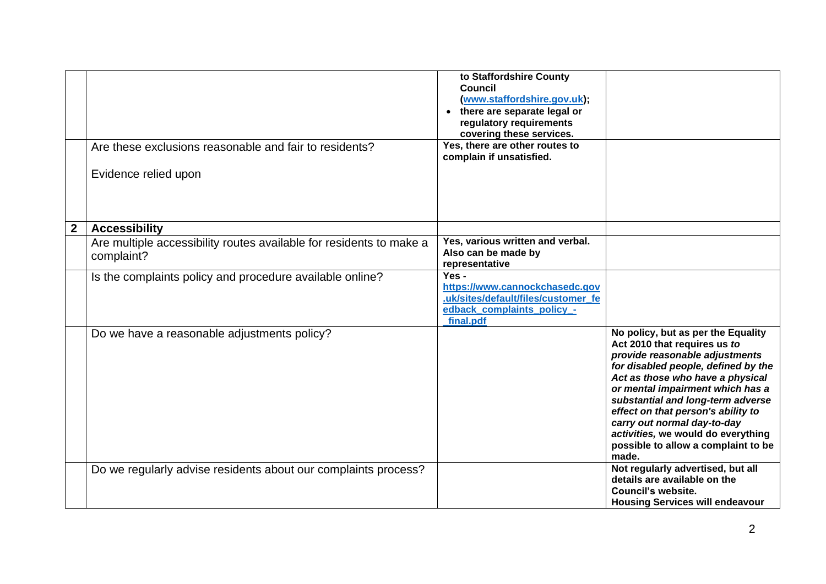|              | Are these exclusions reasonable and fair to residents?                            | to Staffordshire County<br><b>Council</b><br>(www.staffordshire.gov.uk);<br>• there are separate legal or<br>regulatory requirements<br>covering these services.<br>Yes, there are other routes to |                                                                                                                                                                                                                                                                                                                                                                                                                     |
|--------------|-----------------------------------------------------------------------------------|----------------------------------------------------------------------------------------------------------------------------------------------------------------------------------------------------|---------------------------------------------------------------------------------------------------------------------------------------------------------------------------------------------------------------------------------------------------------------------------------------------------------------------------------------------------------------------------------------------------------------------|
|              |                                                                                   | complain if unsatisfied.                                                                                                                                                                           |                                                                                                                                                                                                                                                                                                                                                                                                                     |
|              | Evidence relied upon                                                              |                                                                                                                                                                                                    |                                                                                                                                                                                                                                                                                                                                                                                                                     |
| $\mathbf{2}$ | <b>Accessibility</b>                                                              |                                                                                                                                                                                                    |                                                                                                                                                                                                                                                                                                                                                                                                                     |
|              | Are multiple accessibility routes available for residents to make a<br>complaint? | Yes, various written and verbal.<br>Also can be made by<br>representative                                                                                                                          |                                                                                                                                                                                                                                                                                                                                                                                                                     |
|              | Is the complaints policy and procedure available online?                          | Yes -<br>https://www.cannockchasedc.gov<br>.uk/sites/default/files/customer fe<br>edback_complaints_policy_-<br>final.pdf                                                                          |                                                                                                                                                                                                                                                                                                                                                                                                                     |
|              | Do we have a reasonable adjustments policy?                                       |                                                                                                                                                                                                    | No policy, but as per the Equality<br>Act 2010 that requires us to<br>provide reasonable adjustments<br>for disabled people, defined by the<br>Act as those who have a physical<br>or mental impairment which has a<br>substantial and long-term adverse<br>effect on that person's ability to<br>carry out normal day-to-day<br>activities, we would do everything<br>possible to allow a complaint to be<br>made. |
|              | Do we regularly advise residents about our complaints process?                    |                                                                                                                                                                                                    | Not regularly advertised, but all<br>details are available on the<br>Council's website.<br><b>Housing Services will endeavour</b>                                                                                                                                                                                                                                                                                   |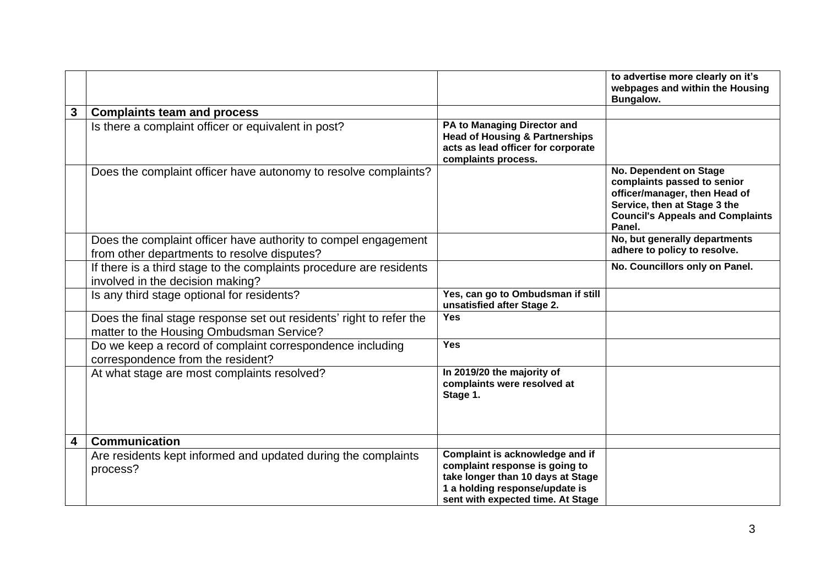|   |                                                                                                                 |                                                                                                                                                                               | to advertise more clearly on it's<br>webpages and within the Housing<br>Bungalow.                                                                                           |
|---|-----------------------------------------------------------------------------------------------------------------|-------------------------------------------------------------------------------------------------------------------------------------------------------------------------------|-----------------------------------------------------------------------------------------------------------------------------------------------------------------------------|
| 3 | <b>Complaints team and process</b>                                                                              |                                                                                                                                                                               |                                                                                                                                                                             |
|   | Is there a complaint officer or equivalent in post?                                                             | PA to Managing Director and<br><b>Head of Housing &amp; Partnerships</b><br>acts as lead officer for corporate<br>complaints process.                                         |                                                                                                                                                                             |
|   | Does the complaint officer have autonomy to resolve complaints?                                                 |                                                                                                                                                                               | No. Dependent on Stage<br>complaints passed to senior<br>officer/manager, then Head of<br>Service, then at Stage 3 the<br><b>Council's Appeals and Complaints</b><br>Panel. |
|   | Does the complaint officer have authority to compel engagement<br>from other departments to resolve disputes?   |                                                                                                                                                                               | No, but generally departments<br>adhere to policy to resolve.                                                                                                               |
|   | If there is a third stage to the complaints procedure are residents<br>involved in the decision making?         |                                                                                                                                                                               | No. Councillors only on Panel.                                                                                                                                              |
|   | Is any third stage optional for residents?                                                                      | Yes, can go to Ombudsman if still<br>unsatisfied after Stage 2.                                                                                                               |                                                                                                                                                                             |
|   | Does the final stage response set out residents' right to refer the<br>matter to the Housing Ombudsman Service? | <b>Yes</b>                                                                                                                                                                    |                                                                                                                                                                             |
|   | Do we keep a record of complaint correspondence including<br>correspondence from the resident?                  | <b>Yes</b>                                                                                                                                                                    |                                                                                                                                                                             |
|   | At what stage are most complaints resolved?                                                                     | In 2019/20 the majority of<br>complaints were resolved at<br>Stage 1.                                                                                                         |                                                                                                                                                                             |
| 4 | <b>Communication</b>                                                                                            |                                                                                                                                                                               |                                                                                                                                                                             |
|   | Are residents kept informed and updated during the complaints<br>process?                                       | Complaint is acknowledge and if<br>complaint response is going to<br>take longer than 10 days at Stage<br>1 a holding response/update is<br>sent with expected time. At Stage |                                                                                                                                                                             |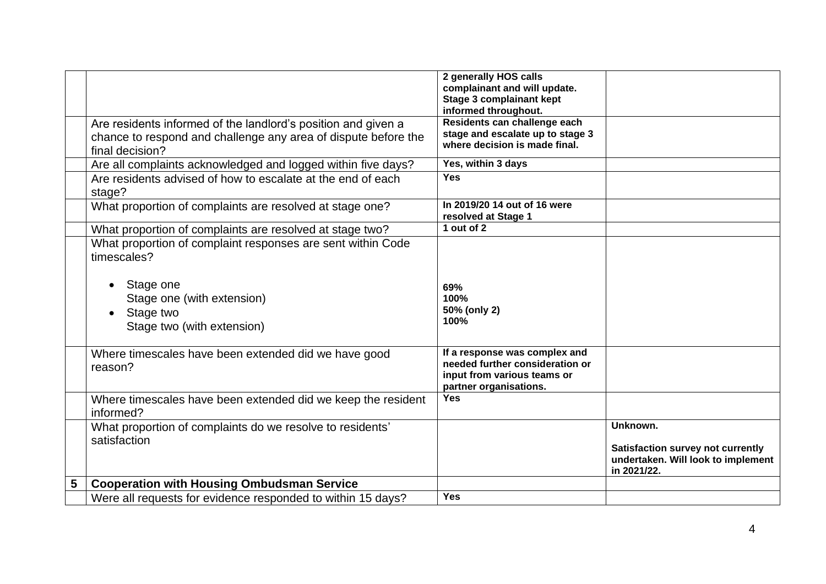|   |                                                                            | 2 generally HOS calls<br>complainant and will update.<br><b>Stage 3 complainant kept</b>                                  |                                                                                               |
|---|----------------------------------------------------------------------------|---------------------------------------------------------------------------------------------------------------------------|-----------------------------------------------------------------------------------------------|
|   |                                                                            | informed throughout.                                                                                                      |                                                                                               |
|   | Are residents informed of the landlord's position and given a              | Residents can challenge each                                                                                              |                                                                                               |
|   | chance to respond and challenge any area of dispute before the             | stage and escalate up to stage 3<br>where decision is made final.                                                         |                                                                                               |
|   | final decision?                                                            |                                                                                                                           |                                                                                               |
|   | Are all complaints acknowledged and logged within five days?               | Yes, within 3 days                                                                                                        |                                                                                               |
|   | Are residents advised of how to escalate at the end of each<br>stage?      | <b>Yes</b>                                                                                                                |                                                                                               |
|   | What proportion of complaints are resolved at stage one?                   | In 2019/20 14 out of 16 were<br>resolved at Stage 1                                                                       |                                                                                               |
|   | What proportion of complaints are resolved at stage two?                   | 1 out of $2$                                                                                                              |                                                                                               |
|   | What proportion of complaint responses are sent within Code<br>timescales? |                                                                                                                           |                                                                                               |
|   | Stage one                                                                  | 69%                                                                                                                       |                                                                                               |
|   | Stage one (with extension)                                                 | 100%                                                                                                                      |                                                                                               |
|   | Stage two<br>Stage two (with extension)                                    | 50% (only 2)<br>100%                                                                                                      |                                                                                               |
|   | Where timescales have been extended did we have good<br>reason?            | If a response was complex and<br>needed further consideration or<br>input from various teams or<br>partner organisations. |                                                                                               |
|   | Where timescales have been extended did we keep the resident<br>informed?  | <b>Yes</b>                                                                                                                |                                                                                               |
|   | What proportion of complaints do we resolve to residents'                  |                                                                                                                           | Unknown.                                                                                      |
|   | satisfaction                                                               |                                                                                                                           | <b>Satisfaction survey not currently</b><br>undertaken. Will look to implement<br>in 2021/22. |
| 5 | <b>Cooperation with Housing Ombudsman Service</b>                          |                                                                                                                           |                                                                                               |
|   | Were all requests for evidence responded to within 15 days?                | Yes                                                                                                                       |                                                                                               |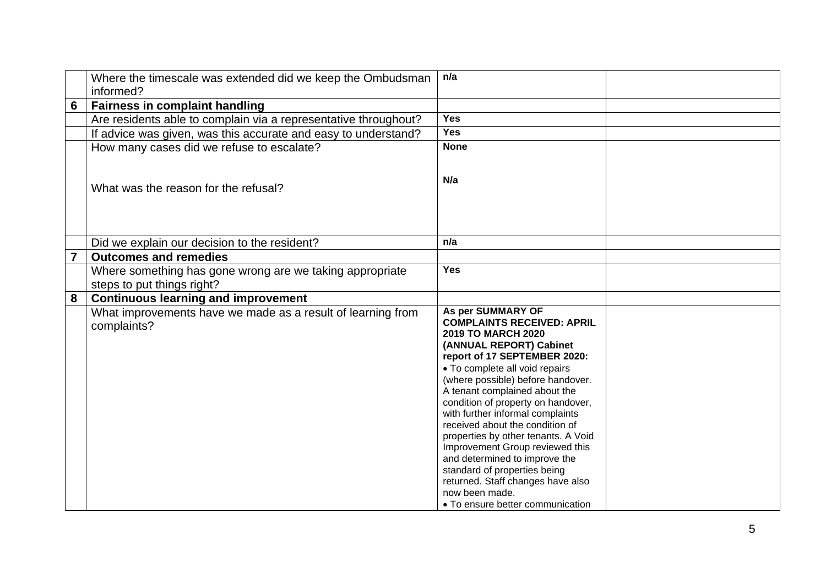|                 | Where the timescale was extended did we keep the Ombudsman<br>informed?    | n/a                                                                                                                                                                                                                                                                                                                                                                                                                                                                                                                                                                                                       |  |
|-----------------|----------------------------------------------------------------------------|-----------------------------------------------------------------------------------------------------------------------------------------------------------------------------------------------------------------------------------------------------------------------------------------------------------------------------------------------------------------------------------------------------------------------------------------------------------------------------------------------------------------------------------------------------------------------------------------------------------|--|
| $6\phantom{1}6$ | <b>Fairness in complaint handling</b>                                      |                                                                                                                                                                                                                                                                                                                                                                                                                                                                                                                                                                                                           |  |
|                 | Are residents able to complain via a representative throughout?            | <b>Yes</b>                                                                                                                                                                                                                                                                                                                                                                                                                                                                                                                                                                                                |  |
|                 | If advice was given, was this accurate and easy to understand?             | <b>Yes</b>                                                                                                                                                                                                                                                                                                                                                                                                                                                                                                                                                                                                |  |
|                 | How many cases did we refuse to escalate?                                  | <b>None</b>                                                                                                                                                                                                                                                                                                                                                                                                                                                                                                                                                                                               |  |
|                 | What was the reason for the refusal?                                       | N/a                                                                                                                                                                                                                                                                                                                                                                                                                                                                                                                                                                                                       |  |
|                 | Did we explain our decision to the resident?                               | n/a                                                                                                                                                                                                                                                                                                                                                                                                                                                                                                                                                                                                       |  |
| $\overline{7}$  | <b>Outcomes and remedies</b>                                               |                                                                                                                                                                                                                                                                                                                                                                                                                                                                                                                                                                                                           |  |
|                 | Where something has gone wrong are we taking appropriate                   | <b>Yes</b>                                                                                                                                                                                                                                                                                                                                                                                                                                                                                                                                                                                                |  |
|                 | steps to put things right?                                                 |                                                                                                                                                                                                                                                                                                                                                                                                                                                                                                                                                                                                           |  |
| 8               | <b>Continuous learning and improvement</b>                                 |                                                                                                                                                                                                                                                                                                                                                                                                                                                                                                                                                                                                           |  |
|                 | What improvements have we made as a result of learning from<br>complaints? | As per SUMMARY OF<br><b>COMPLAINTS RECEIVED: APRIL</b><br><b>2019 TO MARCH 2020</b><br>(ANNUAL REPORT) Cabinet<br>report of 17 SEPTEMBER 2020:<br>• To complete all void repairs<br>(where possible) before handover.<br>A tenant complained about the<br>condition of property on handover,<br>with further informal complaints<br>received about the condition of<br>properties by other tenants. A Void<br>Improvement Group reviewed this<br>and determined to improve the<br>standard of properties being<br>returned. Staff changes have also<br>now been made.<br>• To ensure better communication |  |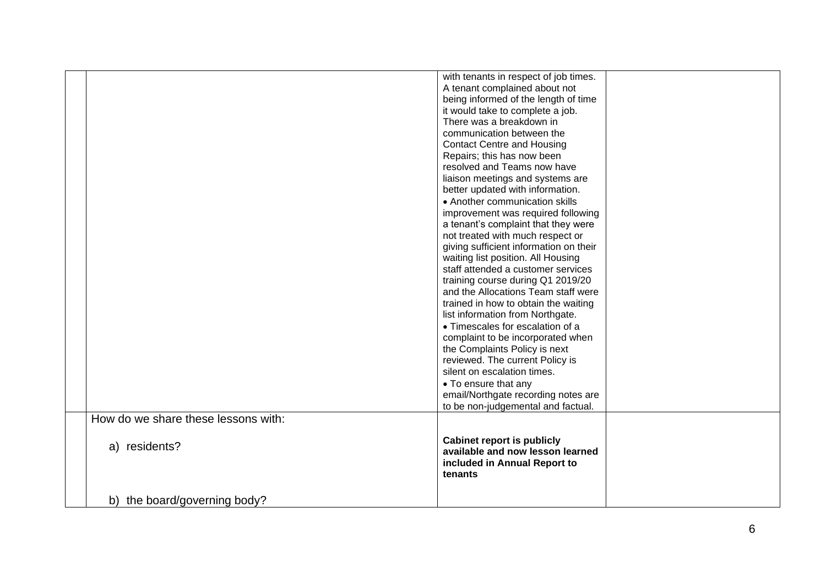|                                     | with tenants in respect of job times.<br>A tenant complained about not<br>being informed of the length of time |  |
|-------------------------------------|----------------------------------------------------------------------------------------------------------------|--|
|                                     | it would take to complete a job.<br>There was a breakdown in                                                   |  |
|                                     | communication between the                                                                                      |  |
|                                     | <b>Contact Centre and Housing</b>                                                                              |  |
|                                     | Repairs; this has now been                                                                                     |  |
|                                     | resolved and Teams now have                                                                                    |  |
|                                     | liaison meetings and systems are                                                                               |  |
|                                     | better updated with information.                                                                               |  |
|                                     | • Another communication skills                                                                                 |  |
|                                     | improvement was required following                                                                             |  |
|                                     | a tenant's complaint that they were                                                                            |  |
|                                     | not treated with much respect or                                                                               |  |
|                                     | giving sufficient information on their                                                                         |  |
|                                     | waiting list position. All Housing<br>staff attended a customer services                                       |  |
|                                     | training course during Q1 2019/20                                                                              |  |
|                                     | and the Allocations Team staff were                                                                            |  |
|                                     | trained in how to obtain the waiting                                                                           |  |
|                                     | list information from Northgate.                                                                               |  |
|                                     | • Timescales for escalation of a                                                                               |  |
|                                     | complaint to be incorporated when                                                                              |  |
|                                     | the Complaints Policy is next                                                                                  |  |
|                                     | reviewed. The current Policy is                                                                                |  |
|                                     | silent on escalation times.                                                                                    |  |
|                                     | • To ensure that any                                                                                           |  |
|                                     | email/Northgate recording notes are                                                                            |  |
|                                     | to be non-judgemental and factual.                                                                             |  |
| How do we share these lessons with: |                                                                                                                |  |
|                                     | <b>Cabinet report is publicly</b>                                                                              |  |
| a) residents?                       | available and now lesson learned                                                                               |  |
|                                     | included in Annual Report to                                                                                   |  |
|                                     | tenants                                                                                                        |  |
|                                     |                                                                                                                |  |
| b) the board/governing body?        |                                                                                                                |  |